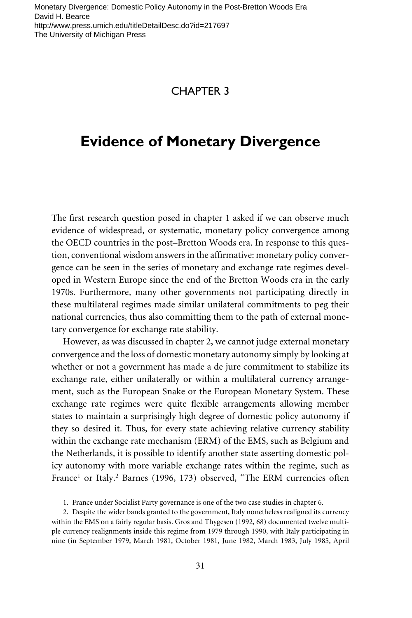# CHAPTER 3

# **Evidence of Monetary Divergence**

The first research question posed in chapter 1 asked if we can observe much evidence of widespread, or systematic, monetary policy convergence among the OECD countries in the post–Bretton Woods era. In response to this question, conventional wisdom answers in the affirmative: monetary policy convergence can be seen in the series of monetary and exchange rate regimes developed in Western Europe since the end of the Bretton Woods era in the early 1970s. Furthermore, many other governments not participating directly in these multilateral regimes made similar unilateral commitments to peg their national currencies, thus also committing them to the path of external monetary convergence for exchange rate stability.

However, as was discussed in chapter 2, we cannot judge external monetary convergence and the loss of domestic monetary autonomy simply by looking at whether or not a government has made a de jure commitment to stabilize its exchange rate, either unilaterally or within a multilateral currency arrangement, such as the European Snake or the European Monetary System. These exchange rate regimes were quite flexible arrangements allowing member states to maintain a surprisingly high degree of domestic policy autonomy if they so desired it. Thus, for every state achieving relative currency stability within the exchange rate mechanism (ERM) of the EMS, such as Belgium and the Netherlands, it is possible to identify another state asserting domestic policy autonomy with more variable exchange rates within the regime, such as France<sup>1</sup> or Italy.<sup>2</sup> Barnes (1996, 173) observed, "The ERM currencies often

<sup>1.</sup> France under Socialist Party governance is one of the two case studies in chapter 6.

<sup>2.</sup> Despite the wider bands granted to the government, Italy nonetheless realigned its currency within the EMS on a fairly regular basis. Gros and Thygesen (1992, 68) documented twelve multiple currency realignments inside this regime from 1979 through 1990, with Italy participating in nine (in September 1979, March 1981, October 1981, June 1982, March 1983, July 1985, April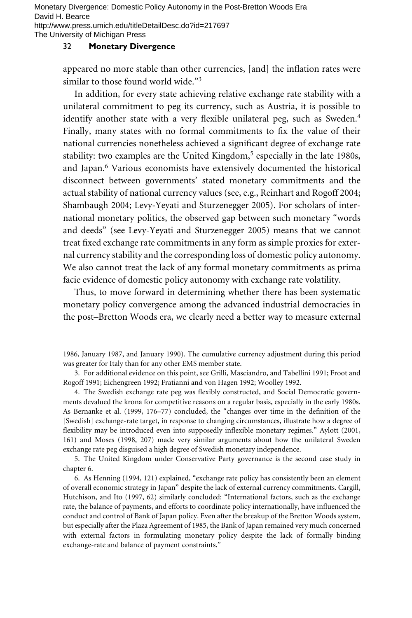## 32 **Monetary Divergence**

appeared no more stable than other currencies, [and] the inflation rates were similar to those found world wide."<sup>3</sup>

In addition, for every state achieving relative exchange rate stability with a unilateral commitment to peg its currency, such as Austria, it is possible to identify another state with a very flexible unilateral peg, such as Sweden.<sup>4</sup> Finally, many states with no formal commitments to fix the value of their national currencies nonetheless achieved a significant degree of exchange rate stability: two examples are the United Kingdom, $5$  especially in the late 1980s, and Japan.<sup>6</sup> Various economists have extensively documented the historical disconnect between governments' stated monetary commitments and the actual stability of national currency values (see, e.g., Reinhart and Rogoff 2004; Shambaugh 2004; Levy-Yeyati and Sturzenegger 2005). For scholars of international monetary politics, the observed gap between such monetary "words and deeds" (see Levy-Yeyati and Sturzenegger 2005) means that we cannot treat fixed exchange rate commitments in any form as simple proxies for external currency stability and the corresponding loss of domestic policy autonomy. We also cannot treat the lack of any formal monetary commitments as prima facie evidence of domestic policy autonomy with exchange rate volatility.

Thus, to move forward in determining whether there has been systematic monetary policy convergence among the advanced industrial democracies in the post–Bretton Woods era, we clearly need a better way to measure external

<sup>1986,</sup> January 1987, and January 1990). The cumulative currency adjustment during this period was greater for Italy than for any other EMS member state.

<sup>3.</sup> For additional evidence on this point, see Grilli, Masciandro, and Tabellini 1991; Froot and Rogoff 1991; Eichengreen 1992; Fratianni and von Hagen 1992; Woolley 1992.

<sup>4.</sup> The Swedish exchange rate peg was flexibly constructed, and Social Democratic governments devalued the krona for competitive reasons on a regular basis, especially in the early 1980s. As Bernanke et al. (1999, 176–77) concluded, the "changes over time in the definition of the [Swedish] exchange-rate target, in response to changing circumstances, illustrate how a degree of flexibility may be introduced even into supposedly inflexible monetary regimes." Aylott (2001, 161) and Moses (1998, 207) made very similar arguments about how the unilateral Sweden exchange rate peg disguised a high degree of Swedish monetary independence.

<sup>5.</sup> The United Kingdom under Conservative Party governance is the second case study in chapter 6.

<sup>6.</sup> As Henning (1994, 121) explained, "exchange rate policy has consistently been an element of overall economic strategy in Japan" despite the lack of external currency commitments. Cargill, Hutchison, and Ito (1997, 62) similarly concluded: "International factors, such as the exchange rate, the balance of payments, and efforts to coordinate policy internationally, have influenced the conduct and control of Bank of Japan policy. Even after the breakup of the Bretton Woods system, but especially after the Plaza Agreement of 1985, the Bank of Japan remained very much concerned with external factors in formulating monetary policy despite the lack of formally binding exchange-rate and balance of payment constraints."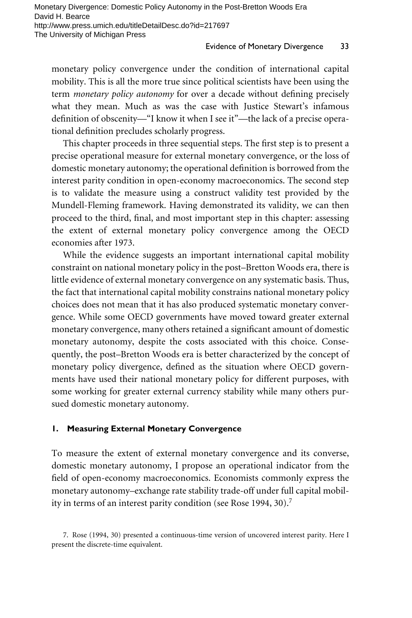monetary policy convergence under the condition of international capital mobility. This is all the more true since political scientists have been using the term *monetary policy autonomy* for over a decade without defining precisely what they mean. Much as was the case with Justice Stewart's infamous definition of obscenity—"I know it when I see it"—the lack of a precise operational definition precludes scholarly progress.

This chapter proceeds in three sequential steps. The first step is to present a precise operational measure for external monetary convergence, or the loss of domestic monetary autonomy; the operational definition is borrowed from the interest parity condition in open-economy macroeconomics. The second step is to validate the measure using a construct validity test provided by the Mundell-Fleming framework. Having demonstrated its validity, we can then proceed to the third, final, and most important step in this chapter: assessing the extent of external monetary policy convergence among the OECD economies after 1973.

While the evidence suggests an important international capital mobility constraint on national monetary policy in the post–Bretton Woods era, there is little evidence of external monetary convergence on any systematic basis. Thus, the fact that international capital mobility constrains national monetary policy choices does not mean that it has also produced systematic monetary convergence. While some OECD governments have moved toward greater external monetary convergence, many others retained a significant amount of domestic monetary autonomy, despite the costs associated with this choice. Consequently, the post–Bretton Woods era is better characterized by the concept of monetary policy divergence, defined as the situation where OECD governments have used their national monetary policy for different purposes, with some working for greater external currency stability while many others pursued domestic monetary autonomy.

#### **1. Measuring External Monetary Convergence**

To measure the extent of external monetary convergence and its converse, domestic monetary autonomy, I propose an operational indicator from the field of open-economy macroeconomics. Economists commonly express the monetary autonomy–exchange rate stability trade-off under full capital mobility in terms of an interest parity condition (see Rose 1994, 30).<sup>7</sup>

<sup>7.</sup> Rose (1994, 30) presented a continuous-time version of uncovered interest parity. Here I present the discrete-time equivalent.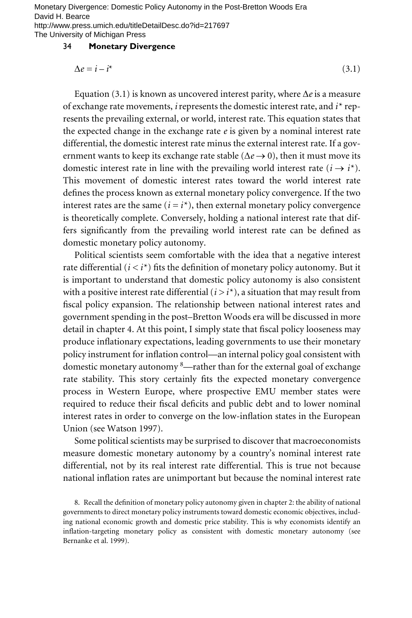# 34 **Monetary Divergence**

$$
\Delta e = i - i^* \tag{3.1}
$$

Equation (3.1) is known as uncovered interest parity, where ∆*e* is a measure of exchange rate movements, *i* represents the domestic interest rate, and *i*\* represents the prevailing external, or world, interest rate. This equation states that the expected change in the exchange rate *e* is given by a nominal interest rate differential, the domestic interest rate minus the external interest rate. If a government wants to keep its exchange rate stable ( $\Delta e \rightarrow 0$ ), then it must move its domestic interest rate in line with the prevailing world interest rate  $(i \rightarrow i^*)$ . This movement of domestic interest rates toward the world interest rate defines the process known as external monetary policy convergence. If the two interest rates are the same  $(i = i<sup>*</sup>)$ , then external monetary policy convergence is theoretically complete. Conversely, holding a national interest rate that differs significantly from the prevailing world interest rate can be defined as domestic monetary policy autonomy.

Political scientists seem comfortable with the idea that a negative interest rate differential  $(i \leq i^*)$  fits the definition of monetary policy autonomy. But it is important to understand that domestic policy autonomy is also consistent with a positive interest rate differential  $(i > i^*)$ , a situation that may result from fiscal policy expansion. The relationship between national interest rates and government spending in the post–Bretton Woods era will be discussed in more detail in chapter 4. At this point, I simply state that fiscal policy looseness may produce inflationary expectations, leading governments to use their monetary policy instrument for inflation control—an internal policy goal consistent with domestic monetary autonomy <sup>8</sup>—rather than for the external goal of exchange rate stability. This story certainly fits the expected monetary convergence process in Western Europe, where prospective EMU member states were required to reduce their fiscal deficits and public debt and to lower nominal interest rates in order to converge on the low-inflation states in the European Union (see Watson 1997).

Some political scientists may be surprised to discover that macroeconomists measure domestic monetary autonomy by a country's nominal interest rate differential, not by its real interest rate differential. This is true not because national inflation rates are unimportant but because the nominal interest rate

<sup>8.</sup> Recall the definition of monetary policy autonomy given in chapter 2: the ability of national governments to direct monetary policy instruments toward domestic economic objectives, including national economic growth and domestic price stability. This is why economists identify an inflation-targeting monetary policy as consistent with domestic monetary autonomy (see Bernanke et al. 1999).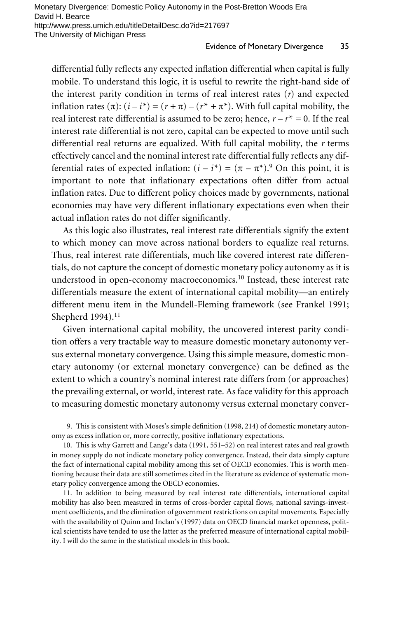#### Evidence of Monetary Divergence 35

differential fully reflects any expected inflation differential when capital is fully mobile. To understand this logic, it is useful to rewrite the right-hand side of the interest parity condition in terms of real interest rates (*r*) and expected inflation rates  $(\pi)$ :  $(i - i^*) = (r + \pi) - (r^* + \pi^*)$ . With full capital mobility, the real interest rate differential is assumed to be zero; hence,  $r - r^* = 0$ . If the real interest rate differential is not zero, capital can be expected to move until such differential real returns are equalized. With full capital mobility, the *r* terms effectively cancel and the nominal interest rate differential fully reflects any differential rates of expected inflation:  $(i - i^*) = (\pi - \pi^*)^9$ . On this point, it is important to note that inflationary expectations often differ from actual inflation rates. Due to different policy choices made by governments, national economies may have very different inflationary expectations even when their actual inflation rates do not differ significantly.

As this logic also illustrates, real interest rate differentials signify the extent to which money can move across national borders to equalize real returns. Thus, real interest rate differentials, much like covered interest rate differentials, do not capture the concept of domestic monetary policy autonomy as it is understood in open-economy macroeconomics.<sup>10</sup> Instead, these interest rate differentials measure the extent of international capital mobility—an entirely different menu item in the Mundell-Fleming framework (see Frankel 1991; Shepherd 1994).<sup>11</sup>

Given international capital mobility, the uncovered interest parity condition offers a very tractable way to measure domestic monetary autonomy versus external monetary convergence. Using this simple measure, domestic monetary autonomy (or external monetary convergence) can be defined as the extent to which a country's nominal interest rate differs from (or approaches) the prevailing external, or world, interest rate. As face validity for this approach to measuring domestic monetary autonomy versus external monetary conver-

9. This is consistent with Moses's simple definition (1998, 214) of domestic monetary autonomy as excess inflation or, more correctly, positive inflationary expectations.

10. This is why Garrett and Lange's data (1991, 551–52) on real interest rates and real growth in money supply do not indicate monetary policy convergence. Instead, their data simply capture the fact of international capital mobility among this set of OECD economies. This is worth mentioning because their data are still sometimes cited in the literature as evidence of systematic monetary policy convergence among the OECD economies.

11. In addition to being measured by real interest rate differentials, international capital mobility has also been measured in terms of cross-border capital flows, national savings-investment coefficients, and the elimination of government restrictions on capital movements. Especially with the availability of Quinn and Inclan's (1997) data on OECD financial market openness, political scientists have tended to use the latter as the preferred measure of international capital mobility. I will do the same in the statistical models in this book.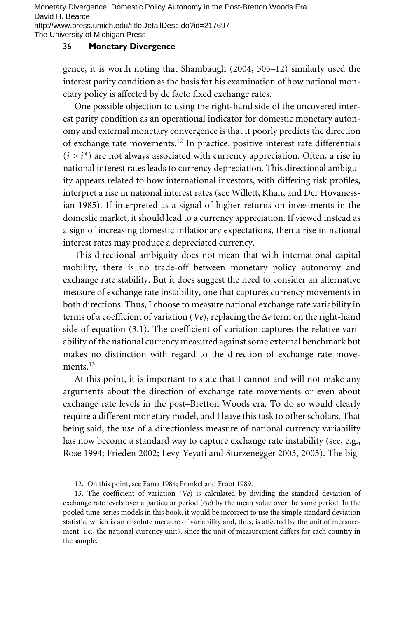## 36 **Monetary Divergence**

gence, it is worth noting that Shambaugh (2004, 305–12) similarly used the interest parity condition as the basis for his examination of how national monetary policy is affected by de facto fixed exchange rates.

One possible objection to using the right-hand side of the uncovered interest parity condition as an operational indicator for domestic monetary autonomy and external monetary convergence is that it poorly predicts the direction of exchange rate movements.<sup>12</sup> In practice, positive interest rate differentials  $(i > i^*)$  are not always associated with currency appreciation. Often, a rise in national interest rates leads to currency depreciation. This directional ambiguity appears related to how international investors, with differing risk profiles, interpret a rise in national interest rates (see Willett, Khan, and Der Hovanessian 1985). If interpreted as a signal of higher returns on investments in the domestic market, it should lead to a currency appreciation. If viewed instead as a sign of increasing domestic inflationary expectations, then a rise in national interest rates may produce a depreciated currency.

This directional ambiguity does not mean that with international capital mobility, there is no trade-off between monetary policy autonomy and exchange rate stability. But it does suggest the need to consider an alternative measure of exchange rate instability, one that captures currency movements in both directions. Thus, I choose to measure national exchange rate variability in terms of a coefficient of variation (*Ve*), replacing the  $\Delta e$  term on the right-hand side of equation  $(3.1)$ . The coefficient of variation captures the relative variability of the national currency measured against some external benchmark but makes no distinction with regard to the direction of exchange rate movements.<sup>13</sup>

At this point, it is important to state that I cannot and will not make any arguments about the direction of exchange rate movements or even about exchange rate levels in the post–Bretton Woods era. To do so would clearly require a different monetary model, and I leave this task to other scholars. That being said, the use of a directionless measure of national currency variability has now become a standard way to capture exchange rate instability (see, e.g., Rose 1994; Frieden 2002; Levy-Yeyati and Sturzenegger 2003, 2005). The big-

12. On this point, see Fama 1984; Frankel and Froot 1989.

13. The coefficient of variation  $(Ve)$  is calculated by dividing the standard deviation of exchange rate levels over a particular period (σ*e*) by the mean value over the same period. In the pooled time-series models in this book, it would be incorrect to use the simple standard deviation statistic, which is an absolute measure of variability and, thus, is affected by the unit of measurement (i.e., the national currency unit), since the unit of measurement differs for each country in the sample.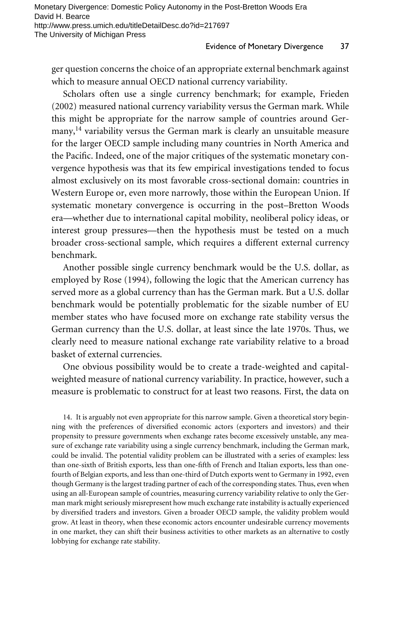ger question concerns the choice of an appropriate external benchmark against which to measure annual OECD national currency variability.

Scholars often use a single currency benchmark; for example, Frieden (2002) measured national currency variability versus the German mark. While this might be appropriate for the narrow sample of countries around Germany,<sup>14</sup> variability versus the German mark is clearly an unsuitable measure for the larger OECD sample including many countries in North America and the Pacific. Indeed, one of the major critiques of the systematic monetary convergence hypothesis was that its few empirical investigations tended to focus almost exclusively on its most favorable cross-sectional domain: countries in Western Europe or, even more narrowly, those within the European Union. If systematic monetary convergence is occurring in the post–Bretton Woods era—whether due to international capital mobility, neoliberal policy ideas, or interest group pressures—then the hypothesis must be tested on a much broader cross-sectional sample, which requires a different external currency benchmark.

Another possible single currency benchmark would be the U.S. dollar, as employed by Rose (1994), following the logic that the American currency has served more as a global currency than has the German mark. But a U.S. dollar benchmark would be potentially problematic for the sizable number of EU member states who have focused more on exchange rate stability versus the German currency than the U.S. dollar, at least since the late 1970s. Thus, we clearly need to measure national exchange rate variability relative to a broad basket of external currencies.

One obvious possibility would be to create a trade-weighted and capitalweighted measure of national currency variability. In practice, however, such a measure is problematic to construct for at least two reasons. First, the data on

14. It is arguably not even appropriate for this narrow sample. Given a theoretical story beginning with the preferences of diversified economic actors (exporters and investors) and their propensity to pressure governments when exchange rates become excessively unstable, any measure of exchange rate variability using a single currency benchmark, including the German mark, could be invalid. The potential validity problem can be illustrated with a series of examples: less than one-sixth of British exports, less than one-fifth of French and Italian exports, less than onefourth of Belgian exports, and less than one-third of Dutch exports went to Germany in 1992, even though Germany is the largest trading partner of each of the corresponding states. Thus, even when using an all-European sample of countries, measuring currency variability relative to only the German mark might seriously misrepresent how much exchange rate instability is actually experienced by diversified traders and investors. Given a broader OECD sample, the validity problem would grow. At least in theory, when these economic actors encounter undesirable currency movements in one market, they can shift their business activities to other markets as an alternative to costly lobbying for exchange rate stability.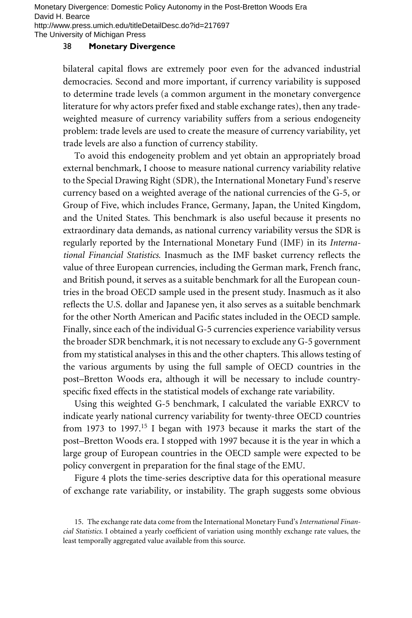## 38 **Monetary Divergence**

bilateral capital flows are extremely poor even for the advanced industrial democracies. Second and more important, if currency variability is supposed to determine trade levels (a common argument in the monetary convergence literature for why actors prefer fixed and stable exchange rates), then any tradeweighted measure of currency variability suffers from a serious endogeneity problem: trade levels are used to create the measure of currency variability, yet trade levels are also a function of currency stability.

To avoid this endogeneity problem and yet obtain an appropriately broad external benchmark, I choose to measure national currency variability relative to the Special Drawing Right (SDR), the International Monetary Fund's reserve currency based on a weighted average of the national currencies of the G-5, or Group of Five, which includes France, Germany, Japan, the United Kingdom, and the United States. This benchmark is also useful because it presents no extraordinary data demands, as national currency variability versus the SDR is regularly reported by the International Monetary Fund (IMF) in its *International Financial Statistics*. Inasmuch as the IMF basket currency reflects the value of three European currencies, including the German mark, French franc, and British pound, it serves as a suitable benchmark for all the European countries in the broad OECD sample used in the present study. Inasmuch as it also reflects the U.S. dollar and Japanese yen, it also serves as a suitable benchmark for the other North American and Pacific states included in the OECD sample. Finally, since each of the individual G-5 currencies experience variability versus the broader SDR benchmark, it is not necessary to exclude any G-5 government from my statistical analyses in this and the other chapters. This allows testing of the various arguments by using the full sample of OECD countries in the post–Bretton Woods era, although it will be necessary to include countryspecific fixed effects in the statistical models of exchange rate variability.

Using this weighted G-5 benchmark, I calculated the variable EXRCV to indicate yearly national currency variability for twenty-three OECD countries from 1973 to 1997.<sup>15</sup> I began with 1973 because it marks the start of the post–Bretton Woods era. I stopped with 1997 because it is the year in which a large group of European countries in the OECD sample were expected to be policy convergent in preparation for the final stage of the EMU.

Figure 4 plots the time-series descriptive data for this operational measure of exchange rate variability, or instability. The graph suggests some obvious

<sup>15.</sup> The exchange rate data come from the International Monetary Fund's *International Financial Statistics*. I obtained a yearly coefficient of variation using monthly exchange rate values, the least temporally aggregated value available from this source.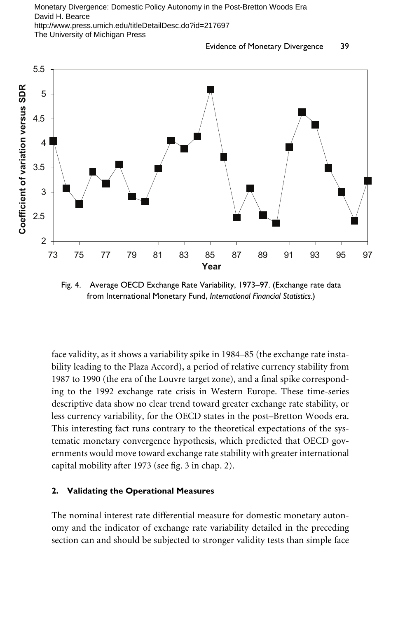Evidence of Monetary Divergence 39



Fig. 4. Average OECD Exchange Rate Variability, 1973–97. (Exchange rate data from International Monetary Fund, *International Financial Statistics.*)

face validity, as it shows a variability spike in 1984–85 (the exchange rate instability leading to the Plaza Accord), a period of relative currency stability from 1987 to 1990 (the era of the Louvre target zone), and a final spike corresponding to the 1992 exchange rate crisis in Western Europe. These time-series descriptive data show no clear trend toward greater exchange rate stability, or less currency variability, for the OECD states in the post–Bretton Woods era. This interesting fact runs contrary to the theoretical expectations of the systematic monetary convergence hypothesis, which predicted that OECD governments would move toward exchange rate stability with greater international capital mobility after 1973 (see fig. 3 in chap. 2).

#### **2. Validating the Operational Measures**

The nominal interest rate differential measure for domestic monetary autonomy and the indicator of exchange rate variability detailed in the preceding section can and should be subjected to stronger validity tests than simple face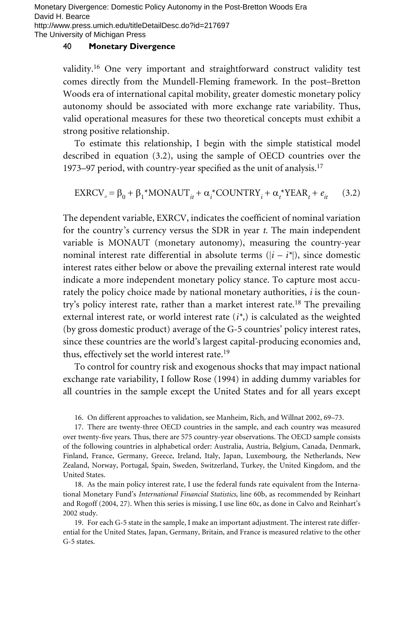# 40 **Monetary Divergence**

validity.<sup>16</sup> One very important and straightforward construct validity test comes directly from the Mundell-Fleming framework. In the post–Bretton Woods era of international capital mobility, greater domestic monetary policy autonomy should be associated with more exchange rate variability. Thus, valid operational measures for these two theoretical concepts must exhibit a strong positive relationship.

To estimate this relationship, I begin with the simple statistical model described in equation (3.2), using the sample of OECD countries over the 1973–97 period, with country-year specified as the unit of analysis. $17$ 

$$
\text{EXRCV}_{i} = \beta_{0} + \beta_{1} \cdot \text{MONAUT}_{it} + \alpha_{i} \cdot \text{COUNTRY}_{i} + \alpha_{t} \cdot \text{YEAR}_{t} + e_{it} \tag{3.2}
$$

The dependent variable, EXRCV, indicates the coefficient of nominal variation for the country's currency versus the SDR in year *t.* The main independent variable is MONAUT (monetary autonomy), measuring the country-year nominal interest rate differential in absolute terms  $(|i - i^*|)$ , since domestic interest rates either below or above the prevailing external interest rate would indicate a more independent monetary policy stance. To capture most accurately the policy choice made by national monetary authorities, *i* is the country's policy interest rate, rather than a market interest rate.<sup>18</sup> The prevailing external interest rate, or world interest rate  $(i^*)$  is calculated as the weighted (by gross domestic product) average of the G-5 countries' policy interest rates, since these countries are the world's largest capital-producing economies and, thus, effectively set the world interest rate.<sup>19</sup>

To control for country risk and exogenous shocks that may impact national exchange rate variability, I follow Rose (1994) in adding dummy variables for all countries in the sample except the United States and for all years except

16. On different approaches to validation, see Manheim, Rich, and Willnat 2002, 69–73.

17. There are twenty-three OECD countries in the sample, and each country was measured over twenty-five years. Thus, there are 575 country-year observations. The OECD sample consists of the following countries in alphabetical order: Australia, Austria, Belgium, Canada, Denmark, Finland, France, Germany, Greece, Ireland, Italy, Japan, Luxembourg, the Netherlands, New Zealand, Norway, Portugal, Spain, Sweden, Switzerland, Turkey, the United Kingdom, and the United States.

18. As the main policy interest rate, I use the federal funds rate equivalent from the International Monetary Fund's *International Financial Statistics,* line 60b, as recommended by Reinhart and Rogoff (2004, 27). When this series is missing, I use line 60c, as done in Calvo and Reinhart's 2002 study.

19. For each G-5 state in the sample, I make an important adjustment. The interest rate differential for the United States, Japan, Germany, Britain, and France is measured relative to the other G-5 states.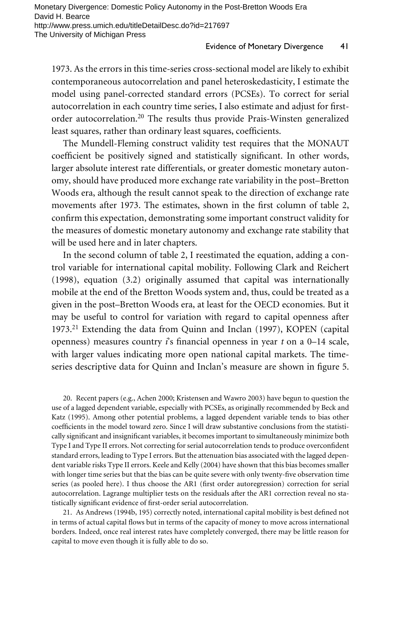1973. As the errors in this time-series cross-sectional model are likely to exhibit contemporaneous autocorrelation and panel heteroskedasticity, I estimate the model using panel-corrected standard errors (PCSEs). To correct for serial autocorrelation in each country time series, I also estimate and adjust for firstorder autocorrelation.20 The results thus provide Prais-Winsten generalized least squares, rather than ordinary least squares, coefficients.

The Mundell-Fleming construct validity test requires that the MONAUT coefficient be positively signed and statistically significant. In other words, larger absolute interest rate differentials, or greater domestic monetary autonomy, should have produced more exchange rate variability in the post–Bretton Woods era, although the result cannot speak to the direction of exchange rate movements after 1973. The estimates, shown in the first column of table 2, confirm this expectation, demonstrating some important construct validity for the measures of domestic monetary autonomy and exchange rate stability that will be used here and in later chapters.

In the second column of table 2, I reestimated the equation, adding a control variable for international capital mobility. Following Clark and Reichert (1998), equation (3.2) originally assumed that capital was internationally mobile at the end of the Bretton Woods system and, thus, could be treated as a given in the post–Bretton Woods era, at least for the OECD economies. But it may be useful to control for variation with regard to capital openness after 1973.21 Extending the data from Quinn and Inclan (1997), KOPEN (capital openness) measures country  $\hat{i}$ s financial openness in year  $t$  on a 0–14 scale, with larger values indicating more open national capital markets. The timeseries descriptive data for Quinn and Inclan's measure are shown in figure 5.

20. Recent papers (e.g., Achen 2000; Kristensen and Wawro 2003) have begun to question the use of a lagged dependent variable, especially with PCSEs, as originally recommended by Beck and Katz (1995). Among other potential problems, a lagged dependent variable tends to bias other coefficients in the model toward zero. Since I will draw substantive conclusions from the statistically significant and insignificant variables, it becomes important to simultaneously minimize both Type I and Type II errors. Not correcting for serial autocorrelation tends to produce overconfident standard errors, leading to Type I errors. But the attenuation bias associated with the lagged dependent variable risks Type II errors. Keele and Kelly (2004) have shown that this bias becomes smaller with longer time series but that the bias can be quite severe with only twenty-five observation time series (as pooled here). I thus choose the AR1 (first order autoregression) correction for serial autocorrelation. Lagrange multiplier tests on the residuals after the AR1 correction reveal no statistically significant evidence of first-order serial autocorrelation.

21. As Andrews (1994b, 195) correctly noted, international capital mobility is best defined not in terms of actual capital flows but in terms of the capacity of money to move across international borders. Indeed, once real interest rates have completely converged, there may be little reason for capital to move even though it is fully able to do so.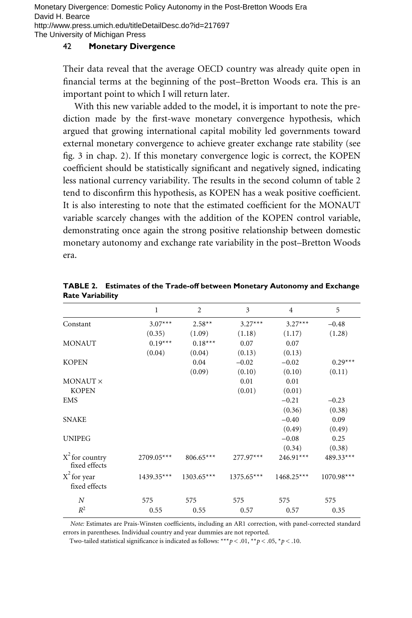## 42 **Monetary Divergence**

Their data reveal that the average OECD country was already quite open in financial terms at the beginning of the post-Bretton Woods era. This is an important point to which I will return later.

With this new variable added to the model, it is important to note the prediction made by the first-wave monetary convergence hypothesis, which argued that growing international capital mobility led governments toward external monetary convergence to achieve greater exchange rate stability (see fig.  $3$  in chap. 2). If this monetary convergence logic is correct, the KOPEN coefficient should be statistically significant and negatively signed, indicating less national currency variability. The results in the second column of table 2 tend to disconfirm this hypothesis, as KOPEN has a weak positive coefficient. It is also interesting to note that the estimated coefficient for the MONAUT variable scarcely changes with the addition of the KOPEN control variable, demonstrating once again the strong positive relationship between domestic monetary autonomy and exchange rate variability in the post–Bretton Woods era.

|                                    | 1          | $\overline{2}$ | 3            | $\overline{4}$ | 5            |
|------------------------------------|------------|----------------|--------------|----------------|--------------|
| Constant                           | $3.07***$  | $2.58**$       | $3.27***$    | $3.27***$      | $-0.48$      |
|                                    | (0.35)     | (1.09)         | (1.18)       | (1.17)         | (1.28)       |
| <b>MONAUT</b>                      | $0.19***$  | $0.18***$      | 0.07         | 0.07           |              |
|                                    | (0.04)     | (0.04)         | (0.13)       | (0.13)         |              |
| <b>KOPEN</b>                       |            | 0.04           | $-0.02$      | $-0.02$        | $0.29***$    |
|                                    |            | (0.09)         | (0.10)       | (0.10)         | (0.11)       |
| MONAUT ×                           |            |                | 0.01         | 0.01           |              |
| <b>KOPEN</b>                       |            |                | (0.01)       | (0.01)         |              |
| <b>EMS</b>                         |            |                |              | $-0.21$        | $-0.23$      |
|                                    |            |                |              | (0.36)         | (0.38)       |
| <b>SNAKE</b>                       |            |                |              | $-0.40$        | 0.09         |
|                                    |            |                |              | (0.49)         | (0.49)       |
| <b>UNIPEG</b>                      |            |                |              | $-0.08$        | 0.25         |
|                                    |            |                |              | (0.34)         | (0.38)       |
| $X^2$ for country<br>fixed effects | 2709.05*** | $806.65***$    | $277.97***$  | $246.91***$    | $489.33***$  |
| $X^2$ for year                     | 1439.35*** | $1303.65***$   | $1375.65***$ | $1468.25***$   | $1070.98***$ |
| fixed effects                      |            |                |              |                |              |
| N                                  | 575        | 575            | 575          | 575            | 575          |
| $R^2$                              | 0.55       | 0.55           | 0.57         | 0.57           | 0.35         |

**TABLE 2. Estimates of the Trade-off between Monetary Autonomy and Exchange Rate Variability**

*Note:* Estimates are Prais-Winsten coefficients, including an AR1 correction, with panel-corrected standard errors in parentheses. Individual country and year dummies are not reported.

Two-tailed statistical significance is indicated as follows: \*\*\* $p < .01$ , \*\* $p < .05$ , \* $p < .10$ .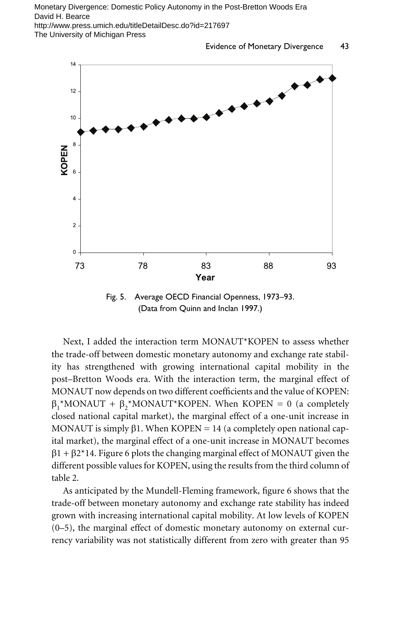

Fig. 5. Average OECD Financial Openness, 1973–93. (Data from Quinn and Inclan 1997.)

Next, I added the interaction term MONAUT\*KOPEN to assess whether the trade-off between domestic monetary autonomy and exchange rate stability has strengthened with growing international capital mobility in the post–Bretton Woods era. With the interaction term, the marginal effect of MONAUT now depends on two different coefficients and the value of KOPEN:  $β_1^*MONAUT + β_2^*MONAUT^*KOPEN.$  When KOPEN = 0 (a completely closed national capital market), the marginal effect of a one-unit increase in MONAUT is simply  $\beta$ 1. When KOPEN = 14 (a completely open national capital market), the marginal effect of a one-unit increase in MONAUT becomes  $\beta$ 1 +  $\beta$ 2\*14. Figure 6 plots the changing marginal effect of MONAUT given the different possible values for KOPEN, using the results from the third column of table 2.

As anticipated by the Mundell-Fleming framework, figure 6 shows that the trade-off between monetary autonomy and exchange rate stability has indeed grown with increasing international capital mobility. At low levels of KOPEN (0–5), the marginal effect of domestic monetary autonomy on external currency variability was not statistically different from zero with greater than 95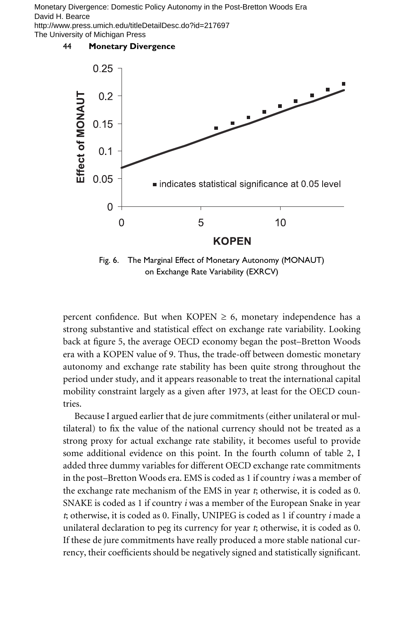# 44 **Monetary Divergence**



Fig. 6. The Marginal Effect of Monetary Autonomy (MONAUT) on Exchange Rate Variability (EXRCV)

percent confidence. But when KOPEN  $\geq 6$ , monetary independence has a strong substantive and statistical effect on exchange rate variability. Looking back at figure 5, the average OECD economy began the post–Bretton Woods era with a KOPEN value of 9. Thus, the trade-off between domestic monetary autonomy and exchange rate stability has been quite strong throughout the period under study, and it appears reasonable to treat the international capital mobility constraint largely as a given after 1973, at least for the OECD countries.

Because I argued earlier that de jure commitments (either unilateral or multilateral) to fix the value of the national currency should not be treated as a strong proxy for actual exchange rate stability, it becomes useful to provide some additional evidence on this point. In the fourth column of table 2, I added three dummy variables for different OECD exchange rate commitments in the post–Bretton Woods era. EMS is coded as 1 if country *i* was a member of the exchange rate mechanism of the EMS in year *t*; otherwise, it is coded as 0. SNAKE is coded as 1 if country *i* was a member of the European Snake in year *t*; otherwise, it is coded as 0. Finally, UNIPEG is coded as 1 if country *i* made a unilateral declaration to peg its currency for year *t*; otherwise, it is coded as 0. If these de jure commitments have really produced a more stable national currency, their coefficients should be negatively signed and statistically significant.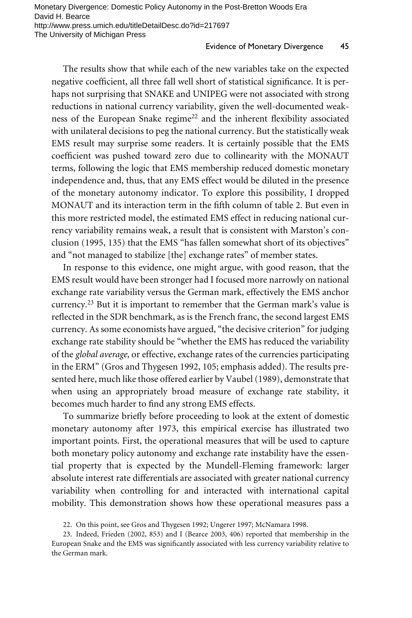### Evidence of Monetary Divergence 45

The results show that while each of the new variables take on the expected negative coefficient, all three fall well short of statistical significance. It is perhaps not surprising that SNAKE and UNIPEG were not associated with strong reductions in national currency variability, given the well-documented weakness of the European Snake regime<sup>22</sup> and the inherent flexibility associated with unilateral decisions to peg the national currency. But the statistically weak EMS result may surprise some readers. It is certainly possible that the EMS coefficient was pushed toward zero due to collinearity with the MONAUT terms, following the logic that EMS membership reduced domestic monetary independence and, thus, that any EMS effect would be diluted in the presence of the monetary autonomy indicator. To explore this possibility, I dropped MONAUT and its interaction term in the fifth column of table 2. But even in this more restricted model, the estimated EMS effect in reducing national currency variability remains weak, a result that is consistent with Marston's conclusion (1995, 135) that the EMS "has fallen somewhat short of its objectives" and "not managed to stabilize [the] exchange rates" of member states.

In response to this evidence, one might argue, with good reason, that the EMS result would have been stronger had I focused more narrowly on national exchange rate variability versus the German mark, effectively the EMS anchor currency.<sup>23</sup> But it is important to remember that the German mark's value is reflected in the SDR benchmark, as is the French franc, the second largest EMS currency. As some economists have argued, "the decisive criterion" for judging exchange rate stability should be "whether the EMS has reduced the variability of the *global average,* or effective, exchange rates of the currencies participating in the ERM" (Gros and Thygesen 1992, 105; emphasis added). The results presented here, much like those offered earlier by Vaubel (1989), demonstrate that when using an appropriately broad measure of exchange rate stability, it becomes much harder to find any strong EMS effects.

To summarize briefly before proceeding to look at the extent of domestic monetary autonomy after 1973, this empirical exercise has illustrated two important points. First, the operational measures that will be used to capture both monetary policy autonomy and exchange rate instability have the essential property that is expected by the Mundell-Fleming framework: larger absolute interest rate differentials are associated with greater national currency variability when controlling for and interacted with international capital mobility. This demonstration shows how these operational measures pass a

22. On this point, see Gros and Thygesen 1992; Ungerer 1997; McNamara 1998.

23. Indeed, Frieden (2002, 853) and I (Bearce 2003, 406) reported that membership in the European Snake and the EMS was significantly associated with less currency variability relative to the German mark.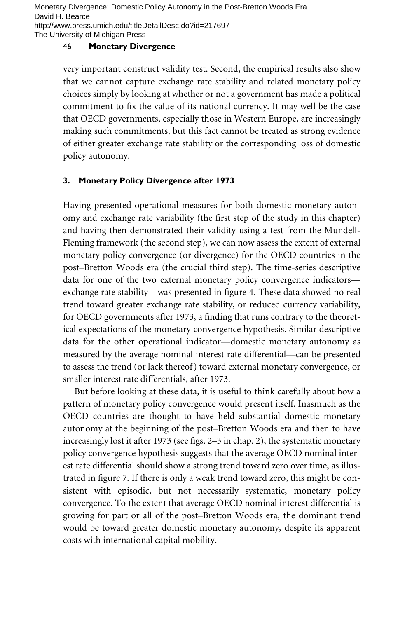# 46 **Monetary Divergence**

very important construct validity test. Second, the empirical results also show that we cannot capture exchange rate stability and related monetary policy choices simply by looking at whether or not a government has made a political commitment to fix the value of its national currency. It may well be the case that OECD governments, especially those in Western Europe, are increasingly making such commitments, but this fact cannot be treated as strong evidence of either greater exchange rate stability or the corresponding loss of domestic policy autonomy.

## **3. Monetary Policy Divergence after 1973**

Having presented operational measures for both domestic monetary autonomy and exchange rate variability (the first step of the study in this chapter) and having then demonstrated their validity using a test from the Mundell-Fleming framework (the second step), we can now assess the extent of external monetary policy convergence (or divergence) for the OECD countries in the post–Bretton Woods era (the crucial third step). The time-series descriptive data for one of the two external monetary policy convergence indicators exchange rate stability—was presented in figure 4. These data showed no real trend toward greater exchange rate stability, or reduced currency variability, for OECD governments after 1973, a finding that runs contrary to the theoretical expectations of the monetary convergence hypothesis. Similar descriptive data for the other operational indicator—domestic monetary autonomy as measured by the average nominal interest rate differential—can be presented to assess the trend (or lack thereof) toward external monetary convergence, or smaller interest rate differentials, after 1973.

But before looking at these data, it is useful to think carefully about how a pattern of monetary policy convergence would present itself. Inasmuch as the OECD countries are thought to have held substantial domestic monetary autonomy at the beginning of the post–Bretton Woods era and then to have increasingly lost it after 1973 (see figs.  $2-3$  in chap. 2), the systematic monetary policy convergence hypothesis suggests that the average OECD nominal interest rate differential should show a strong trend toward zero over time, as illustrated in figure 7. If there is only a weak trend toward zero, this might be consistent with episodic, but not necessarily systematic, monetary policy convergence. To the extent that average OECD nominal interest differential is growing for part or all of the post–Bretton Woods era, the dominant trend would be toward greater domestic monetary autonomy, despite its apparent costs with international capital mobility.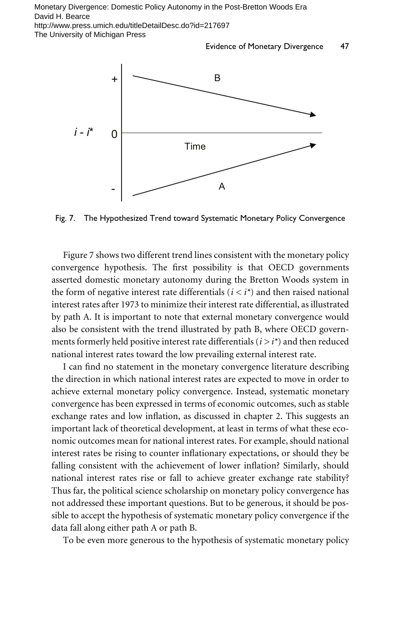



Fig. 7. The Hypothesized Trend toward Systematic Monetary Policy Convergence

Figure 7 shows two different trend lines consistent with the monetary policy convergence hypothesis. The first possibility is that OECD governments asserted domestic monetary autonomy during the Bretton Woods system in the form of negative interest rate differentials  $(i \lt i^*)$  and then raised national interest rates after 1973 to minimize their interest rate differential, as illustrated by path A. It is important to note that external monetary convergence would also be consistent with the trend illustrated by path B, where OECD governments formerly held positive interest rate differentials  $(i > i^*)$  and then reduced national interest rates toward the low prevailing external interest rate.

I can find no statement in the monetary convergence literature describing the direction in which national interest rates are expected to move in order to achieve external monetary policy convergence. Instead, systematic monetary convergence has been expressed in terms of economic outcomes, such as stable exchange rates and low inflation, as discussed in chapter 2. This suggests an important lack of theoretical development, at least in terms of what these economic outcomes mean for national interest rates. For example, should national interest rates be rising to counter inflationary expectations, or should they be falling consistent with the achievement of lower inflation? Similarly, should national interest rates rise or fall to achieve greater exchange rate stability? Thus far, the political science scholarship on monetary policy convergence has not addressed these important questions. But to be generous, it should be possible to accept the hypothesis of systematic monetary policy convergence if the data fall along either path A or path B.

To be even more generous to the hypothesis of systematic monetary policy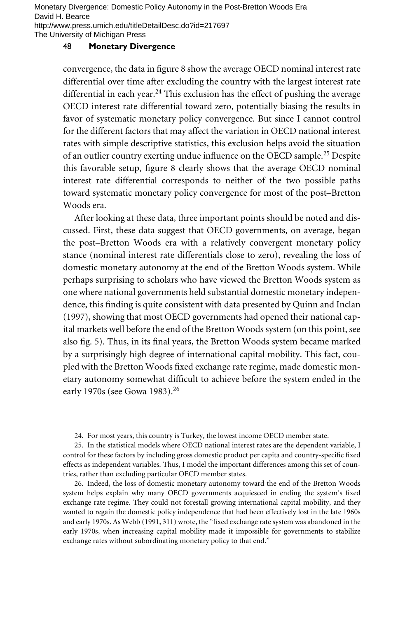# 48 **Monetary Divergence**

convergence, the data in figure 8 show the average OECD nominal interest rate differential over time after excluding the country with the largest interest rate differential in each year.<sup>24</sup> This exclusion has the effect of pushing the average OECD interest rate differential toward zero, potentially biasing the results in favor of systematic monetary policy convergence. But since I cannot control for the different factors that may affect the variation in OECD national interest rates with simple descriptive statistics, this exclusion helps avoid the situation of an outlier country exerting undue influence on the OECD sample.<sup>25</sup> Despite this favorable setup, figure 8 clearly shows that the average OECD nominal interest rate differential corresponds to neither of the two possible paths toward systematic monetary policy convergence for most of the post–Bretton Woods era.

After looking at these data, three important points should be noted and discussed. First, these data suggest that OECD governments, on average, began the post–Bretton Woods era with a relatively convergent monetary policy stance (nominal interest rate differentials close to zero), revealing the loss of domestic monetary autonomy at the end of the Bretton Woods system. While perhaps surprising to scholars who have viewed the Bretton Woods system as one where national governments held substantial domestic monetary independence, this finding is quite consistent with data presented by Quinn and Inclan (1997), showing that most OECD governments had opened their national capital markets well before the end of the Bretton Woods system (on this point, see also fig. 5). Thus, in its final years, the Bretton Woods system became marked by a surprisingly high degree of international capital mobility. This fact, coupled with the Bretton Woods fixed exchange rate regime, made domestic monetary autonomy somewhat difficult to achieve before the system ended in the early 1970s (see Gowa 1983).<sup>26</sup>

24. For most years, this country is Turkey, the lowest income OECD member state.

25. In the statistical models where OECD national interest rates are the dependent variable, I control for these factors by including gross domestic product per capita and country-specific fixed effects as independent variables. Thus, I model the important differences among this set of countries, rather than excluding particular OECD member states.

26. Indeed, the loss of domestic monetary autonomy toward the end of the Bretton Woods system helps explain why many OECD governments acquiesced in ending the system's fixed exchange rate regime. They could not forestall growing international capital mobility, and they wanted to regain the domestic policy independence that had been effectively lost in the late 1960s and early 1970s. As Webb (1991, 311) wrote, the "fixed exchange rate system was abandoned in the early 1970s, when increasing capital mobility made it impossible for governments to stabilize exchange rates without subordinating monetary policy to that end."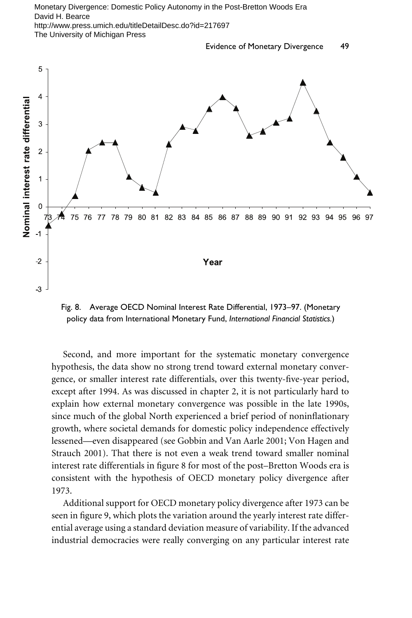Evidence of Monetary Divergence 49



Fig. 8. Average OECD Nominal Interest Rate Differential, 1973–97. (Monetary policy data from International Monetary Fund, *International Financial Statistics.*)

Second, and more important for the systematic monetary convergence hypothesis, the data show no strong trend toward external monetary convergence, or smaller interest rate differentials, over this twenty-five-year period, except after 1994. As was discussed in chapter 2, it is not particularly hard to explain how external monetary convergence was possible in the late 1990s, since much of the global North experienced a brief period of noninflationary growth, where societal demands for domestic policy independence effectively lessened—even disappeared (see Gobbin and Van Aarle 2001; Von Hagen and Strauch 2001). That there is not even a weak trend toward smaller nominal interest rate differentials in figure 8 for most of the post–Bretton Woods era is consistent with the hypothesis of OECD monetary policy divergence after 1973.

Additional support for OECD monetary policy divergence after 1973 can be seen in figure 9, which plots the variation around the yearly interest rate differential average using a standard deviation measure of variability. If the advanced industrial democracies were really converging on any particular interest rate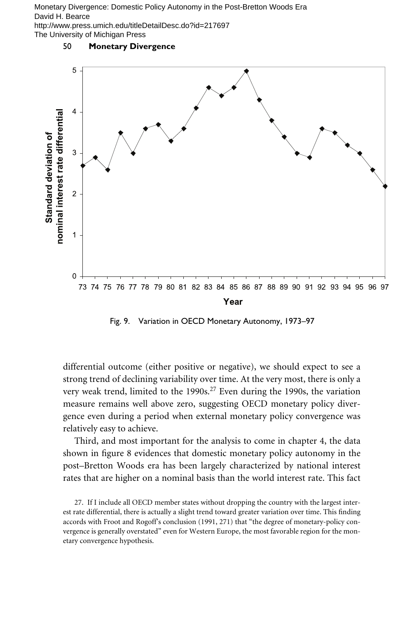#### 50 **Monetary Divergence**



Fig. 9. Variation in OECD Monetary Autonomy, 1973–97

differential outcome (either positive or negative), we should expect to see a strong trend of declining variability over time. At the very most, there is only a very weak trend, limited to the 1990s.<sup>27</sup> Even during the 1990s, the variation measure remains well above zero, suggesting OECD monetary policy divergence even during a period when external monetary policy convergence was relatively easy to achieve.

Third, and most important for the analysis to come in chapter 4, the data shown in figure 8 evidences that domestic monetary policy autonomy in the post–Bretton Woods era has been largely characterized by national interest rates that are higher on a nominal basis than the world interest rate. This fact

27. If I include all OECD member states without dropping the country with the largest interest rate differential, there is actually a slight trend toward greater variation over time. This finding accords with Froot and Rogoff's conclusion (1991, 271) that "the degree of monetary-policy convergence is generally overstated" even for Western Europe, the most favorable region for the monetary convergence hypothesis.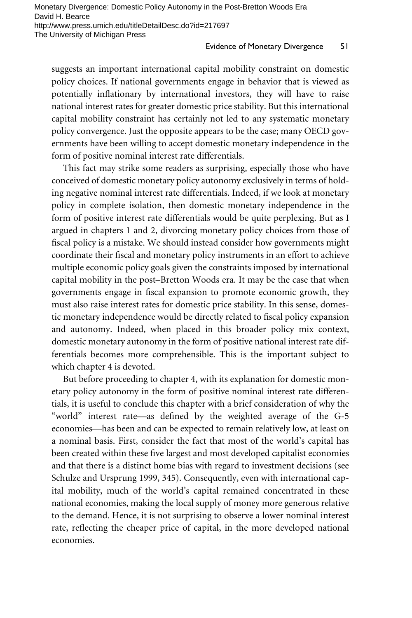### Evidence of Monetary Divergence 51

suggests an important international capital mobility constraint on domestic policy choices. If national governments engage in behavior that is viewed as potentially inflationary by international investors, they will have to raise national interest rates for greater domestic price stability. But this international capital mobility constraint has certainly not led to any systematic monetary policy convergence. Just the opposite appears to be the case; many OECD governments have been willing to accept domestic monetary independence in the form of positive nominal interest rate differentials.

This fact may strike some readers as surprising, especially those who have conceived of domestic monetary policy autonomy exclusively in terms of holding negative nominal interest rate differentials. Indeed, if we look at monetary policy in complete isolation, then domestic monetary independence in the form of positive interest rate differentials would be quite perplexing. But as I argued in chapters 1 and 2, divorcing monetary policy choices from those of fiscal policy is a mistake. We should instead consider how governments might coordinate their fiscal and monetary policy instruments in an effort to achieve multiple economic policy goals given the constraints imposed by international capital mobility in the post–Bretton Woods era. It may be the case that when governments engage in fiscal expansion to promote economic growth, they must also raise interest rates for domestic price stability. In this sense, domestic monetary independence would be directly related to fiscal policy expansion and autonomy. Indeed, when placed in this broader policy mix context, domestic monetary autonomy in the form of positive national interest rate differentials becomes more comprehensible. This is the important subject to which chapter 4 is devoted.

But before proceeding to chapter 4, with its explanation for domestic monetary policy autonomy in the form of positive nominal interest rate differentials, it is useful to conclude this chapter with a brief consideration of why the "world" interest rate—as defined by the weighted average of the G-5 economies—has been and can be expected to remain relatively low, at least on a nominal basis. First, consider the fact that most of the world's capital has been created within these five largest and most developed capitalist economies and that there is a distinct home bias with regard to investment decisions (see Schulze and Ursprung 1999, 345). Consequently, even with international capital mobility, much of the world's capital remained concentrated in these national economies, making the local supply of money more generous relative to the demand. Hence, it is not surprising to observe a lower nominal interest rate, reflecting the cheaper price of capital, in the more developed national economies.